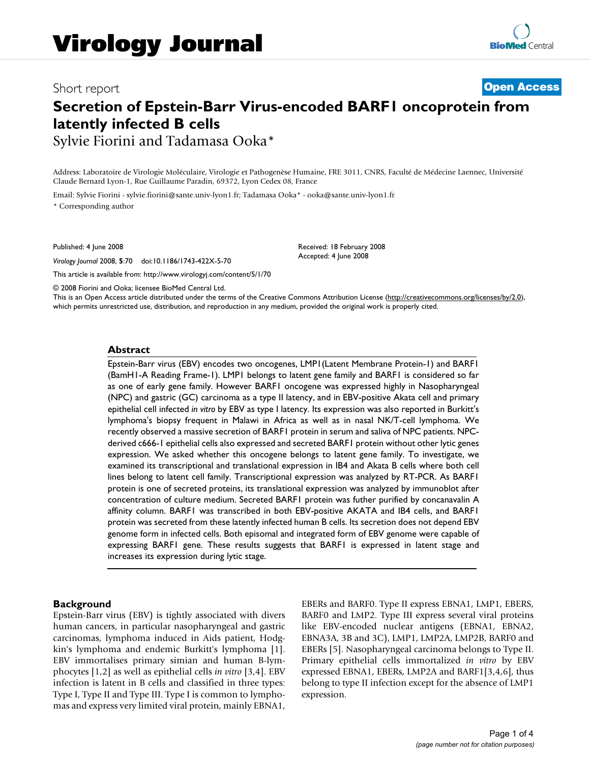# Short report **[Open Access](http://www.biomedcentral.com/info/about/charter/) Secretion of Epstein-Barr Virus-encoded BARF1 oncoprotein from latently infected B cells** Sylvie Fiorini and Tadamasa Ooka\*

Address: Laboratoire de Virologie Moléculaire, Virologie et Pathogenèse Humaine, FRE 3011, CNRS, Faculté de Médecine Laennec, Université Claude Bernard Lyon-1, Rue Guillaume Paradin, 69372, Lyon Cedex 08, France

Email: Sylvie Fiorini - sylvie.fiorini@sante.univ-lyon1.fr; Tadamasa Ooka\* - ooka@sante.univ-lyon1.fr \* Corresponding author

Published: 4 June 2008

*Virology Journal* 2008, **5**:70 doi:10.1186/1743-422X-5-70

[This article is available from: http://www.virologyj.com/content/5/1/70](http://www.virologyj.com/content/5/1/70)

Received: 18 February 2008 Accepted: 4 June 2008

© 2008 Fiorini and Ooka; licensee BioMed Central Ltd.

This is an Open Access article distributed under the terms of the Creative Commons Attribution License [\(http://creativecommons.org/licenses/by/2.0\)](http://creativecommons.org/licenses/by/2.0), which permits unrestricted use, distribution, and reproduction in any medium, provided the original work is properly cited.

#### **Abstract**

Epstein-Barr virus (EBV) encodes two oncogenes, LMP1(Latent Membrane Protein-1) and BARF1 (BamH1-A Reading Frame-1). LMP1 belongs to latent gene family and BARF1 is considered so far as one of early gene family. However BARF1 oncogene was expressed highly in Nasopharyngeal (NPC) and gastric (GC) carcinoma as a type II latency, and in EBV-positive Akata cell and primary epithelial cell infected *in vitro* by EBV as type I latency. Its expression was also reported in Burkitt's lymphoma's biopsy frequent in Malawi in Africa as well as in nasal NK/T-cell lymphoma. We recently observed a massive secretion of BARF1 protein in serum and saliva of NPC patients. NPCderived c666-1 epithelial cells also expressed and secreted BARF1 protein without other lytic genes expression. We asked whether this oncogene belongs to latent gene family. To investigate, we examined its transcriptional and translational expression in IB4 and Akata B cells where both cell lines belong to latent cell family. Transcriptional expression was analyzed by RT-PCR. As BARF1 protein is one of secreted proteins, its translational expression was analyzed by immunoblot after concentration of culture medium. Secreted BARF1 protein was futher purified by concanavalin A affinity column. BARF1 was transcribed in both EBV-positive AKATA and IB4 cells, and BARF1 protein was secreted from these latently infected human B cells. Its secretion does not depend EBV genome form in infected cells. Both episomal and integrated form of EBV genome were capable of expressing BARF1 gene. These results suggests that BARF1 is expressed in latent stage and increases its expression during lytic stage.

#### **Background**

Epstein-Barr virus (EBV) is tightly associated with divers human cancers, in particular nasopharyngeal and gastric carcinomas, lymphoma induced in Aids patient, Hodgkin's lymphoma and endemic Burkitt's lymphoma [1]. EBV immortalises primary simian and human B-lymphocytes [1,2] as well as epithelial cells *in vitro* [3,4]. EBV infection is latent in B cells and classified in three types: Type I, Type II and Type III. Type I is common to lymphomas and express very limited viral protein, mainly EBNA1, EBERs and BARF0. Type II express EBNA1, LMP1, EBERS, BARF0 and LMP2. Type III express several viral proteins like EBV-encoded nuclear antigens (EBNA1, EBNA2, EBNA3A, 3B and 3C), LMP1, LMP2A, LMP2B, BARF0 and EBERs [5]. Nasopharyngeal carcinoma belongs to Type II. Primary epithelial cells immortalized *in vitro* by EBV expressed EBNA1, EBERs, LMP2A and BARF1[3,4,6], thus belong to type II infection except for the absence of LMP1 expression.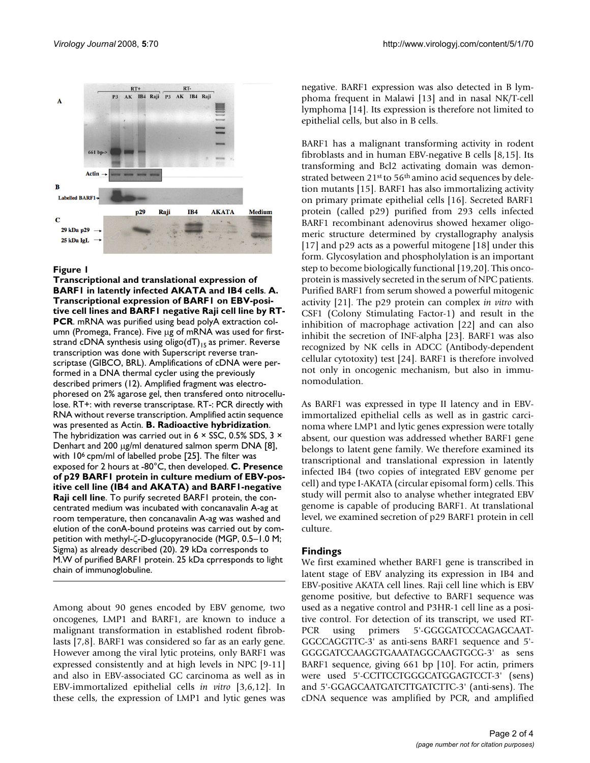

#### Figure 1

**Transcriptional and translational expression of BARF1 in latently infected AKATA and IB4 cells**. **A. Transcriptional expression of BARF1 on EBV-positive cell lines and BARF1 negative Raji cell line by RT-PCR**. mRNA was purified using bead polyA extraction column (Promega, France). Five μg of mRNA was used for firststrand cDNA synthesis using oligo( $dT$ )<sub>15</sub> as primer. Reverse transcription was done with Superscript reverse transcriptase (GIBCO, BRL). Amplifications of cDNA were performed in a DNA thermal cycler using the previously described primers (12). Amplified fragment was electrophoresed on 2% agarose gel, then transfered onto nitrocellulose. RT+: with reverse transcriptase. RT-: PCR directly with RNA without reverse transcription. Amplified actin sequence was presented as Actin. **B. Radioactive hybridization**. The hybridization was carried out in 6  $\times$  SSC, 0.5% SDS, 3  $\times$ Denhart and 200 μg/ml denatured salmon sperm DNA [8], with 10<sup>6</sup> cpm/ml of labelled probe [25]. The filter was exposed for 2 hours at -80°C, then developed. **C. Presence of p29 BARF1 protein in culture medium of EBV-positive cell line (IB4 and AKATA) and BARF1-negative Raji cell line**. To purify secreted BARF1 protein, the concentrated medium was incubated with concanavalin A-ag at room temperature, then concanavalin A-ag was washed and elution of the conA-bound proteins was carried out by competition with methyl-ζ-D-glucopyranocide (MGP, 0.5–1.0 M; Sigma) as already described (20). 29 kDa corresponds to M.W of purified BARF1 protein. 25 kDa cprresponds to light chain of immunoglobuline.

Among about 90 genes encoded by EBV genome, two oncogenes, LMP1 and BARF1, are known to induce a malignant transformation in established rodent fibroblasts [7,8]. BARF1 was considered so far as an early gene. However among the viral lytic proteins, only BARF1 was expressed consistently and at high levels in NPC [9-11] and also in EBV-associated GC carcinoma as well as in EBV-immortalized epithelial cells *in vitro* [3,6,12]. In these cells, the expression of LMP1 and lytic genes was negative. BARF1 expression was also detected in B lymphoma frequent in Malawi [13] and in nasal NK/T-cell lymphoma [14]. Its expression is therefore not limited to epithelial cells, but also in B cells.

BARF1 has a malignant transforming activity in rodent fibroblasts and in human EBV-negative B cells [8,15]. Its transforming and Bcl2 activating domain was demonstrated between 21<sup>st</sup> to 56<sup>th</sup> amino acid sequences by deletion mutants [15]. BARF1 has also immortalizing activity on primary primate epithelial cells [16]. Secreted BARF1 protein (called p29) purified from 293 cells infected BARF1 recombinant adenovirus showed hexamer oligomeric structure determined by crystallography analysis [17] and p29 acts as a powerful mitogene [18] under this form. Glycosylation and phospholylation is an important step to become biologically functional [19,20]. This oncoprotein is massively secreted in the serum of NPC patients. Purified BARF1 from serum showed a powerful mitogenic activity [21]. The p29 protein can complex *in vitro* with CSF1 (Colony Stimulating Factor-1) and result in the inhibition of macrophage activation [22] and can also inhibit the secretion of INF-alpha [23]. BARF1 was also recognized by NK cells in ADCC (Antibody-dependent cellular cytotoxity) test [24]. BARF1 is therefore involved not only in oncogenic mechanism, but also in immunomodulation.

As BARF1 was expressed in type II latency and in EBVimmortalized epithelial cells as well as in gastric carcinoma where LMP1 and lytic genes expression were totally absent, our question was addressed whether BARF1 gene belongs to latent gene family. We therefore examined its transcriptional and translational expression in latently infected IB4 (two copies of integrated EBV genome per cell) and type I-AKATA (circular episomal form) cells. This study will permit also to analyse whether integrated EBV genome is capable of producing BARF1. At translational level, we examined secretion of p29 BARF1 protein in cell culture.

# **Findings**

We first examined whether BARF1 gene is transcribed in latent stage of EBV analyzing its expression in IB4 and EBV-positive AKATA cell lines. Raji cell line which is EBV genome positive, but defective to BARF1 sequence was used as a negative control and P3HR-1 cell line as a positive control. For detection of its transcript, we used RT-PCR using primers 5'-GGGGATCCCAGAGCAAT-GGCCAGGTTC-3' as anti-sens BARF1 sequence and 5'- GGGGATCCAAGGTGAAATAGGCAAGTGCG-3' as sens BARF1 sequence, giving 661 bp [10]. For actin, primers were used 5'-CCTTCCTGGGCATGGAGTCCT-3' (sens) and 5'-GGAGCAATGATCTTGATCTTC-3' (anti-sens). The cDNA sequence was amplified by PCR, and amplified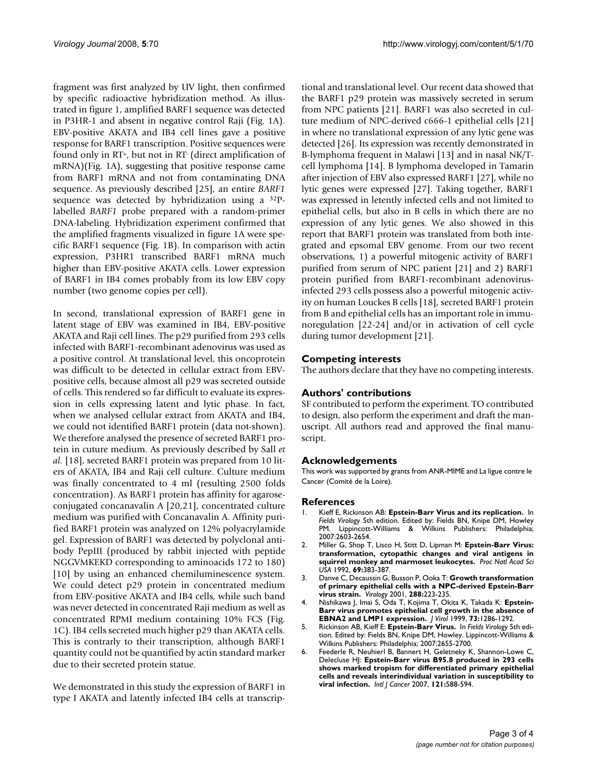fragment was first analyzed by UV light, then confirmed by specific radioactive hybridization method. As illustrated in figure 1, amplified BARF1 sequence was detected in P3HR-1 and absent in negative control Raji (Fig. 1A). EBV-positive AKATA and IB4 cell lines gave a positive response for BARF1 transcription. Positive sequences were found only in RT+, but not in RT- (direct amplification of mRNA)(Fig. 1A), suggesting that positive response came from BARF1 mRNA and not from contaminating DNA sequence. As previously described [25], an entire *BARF1* sequence was detected by hybridization using a 32Plabelled *BARF1* probe prepared with a random-primer DNA-labeling. Hybridization experiment confirmed that the amplified fragments visualized in figure 1A were specific BARF1 sequence (Fig. 1B). In comparison with actin expression, P3HR1 transcribed BARF1 mRNA much higher than EBV-positive AKATA cells. Lower expression of BARF1 in IB4 comes probably from its low EBV copy number (two genome copies per cell).

In second, translational expression of BARF1 gene in latent stage of EBV was examined in IB4, EBV-positive AKATA and Raji cell lines. The p29 purified from 293 cells infected with BARF1-recombinant adenovirus was used as a positive control. At translational level, this oncoprotein was difficult to be detected in cellular extract from EBVpositive cells, because almost all p29 was secreted outside of cells. This rendered so far difficult to evaluate its expression in cells expressing latent and lytic phase. In fact, when we analysed cellular extract from AKATA and IB4, we could not identified BARF1 protein (data not-shown). We therefore analysed the presence of secreted BARF1 protein in cuture medium. As previously described by Sall *et al.* [18], secreted BARF1 protein was prepared from 10 liters of AKATA, IB4 and Raji cell culture. Culture medium was finally concentrated to 4 ml (resulting 2500 folds concentration). As BARF1 protein has affinity for agaroseconjugated concanavalin A [20,21], concentrated culture medium was purified with Concanavalin A. Affinity purified BARF1 protein was analyzed on 12% polyacrylamide gel. Expression of BARF1 was detected by polyclonal antibody PepIII (produced by rabbit injected with peptide NGGVMKEKD corresponding to aminoacids 172 to 180) [10] by using an enhanced chemiluminescence system. We could detect p29 protein in concentrated medium from EBV-positive AKATA and IB4 cells, while such band was never detected in concentrated Raji medium as well as concentrated RPMI medium containing 10% FCS (Fig. 1C). IB4 cells secreted much higher p29 than AKATA cells. This is contrarly to their transcription, although BARF1 quantity could not be quantified by actin standard marker due to their secreted protein statue.

We demonstrated in this study the expression of BARF1 in type I AKATA and latently infected IB4 cells at transcriptional and translational level. Our recent data showed that the BARF1 p29 protein was massively secreted in serum from NPC patients [21]. BARF1 was also secreted in culture medium of NPC-derived c666-1 epithelial cells [21] in where no translational expression of any lytic gene was detected [26]. Its expression was recently demonstrated in B-lymphoma frequent in Malawi [13] and in nasal NK/Tcell lymphoma [14]. B lymphoma developed in Tamarin after injection of EBV also expressed BARF1 [27], while no lytic genes were expressed [27]. Taking together, BARF1 was expressed in letently infected cells and not limited to epithelial cells, but also in B cells in which there are no expression of any lytic genes. We also showed in this report that BARF1 protein was translated from both integrated and epsomal EBV genome. From our two recent observations, 1) a powerful mitogenic activity of BARF1 purified from serum of NPC patient [21] and 2) BARF1 protein purified from BARF1-recombinant adenovirusinfected 293 cells possess also a powerful mitogenic activity on human Louckes B cells [18], secreted BARF1 protein from B and epithelial cells has an important role in immunoregulation [22-24] and/or in activation of cell cycle during tumor development [21].

# **Competing interests**

The authors declare that they have no competing interests.

# **Authors' contributions**

SF contributed to perform the experiment. TO contributed to design, also perform the experiment and draft the manuscript. All authors read and approved the final manuscript.

# **Acknowledgements**

This work was supported by grants from ANR-MIME and La ligue contre le Cancer (Comité de la Loire).

# **References**

- 1. Kieff E, Rickinson AB: **Epstein-Barr Virus and its replication.** In *Fields Virology* 5th edition. Edited by: Fields BN, Knipe DM, Howley PM. Lippincott-Williams & Wilkins Publishers: Philadelphia; 2007:2603-2654.
- 2. Miller G, Shop T, Lisco H, Stitt D, Lipman M: **[Epstein-Barr Virus:](http://www.ncbi.nlm.nih.gov/entrez/query.fcgi?cmd=Retrieve&db=PubMed&dopt=Abstract&list_uids=4333982) [transformation, cytopathic changes and viral antigens in](http://www.ncbi.nlm.nih.gov/entrez/query.fcgi?cmd=Retrieve&db=PubMed&dopt=Abstract&list_uids=4333982) [squirrel monkey and marmoset leukocytes.](http://www.ncbi.nlm.nih.gov/entrez/query.fcgi?cmd=Retrieve&db=PubMed&dopt=Abstract&list_uids=4333982)** *Proc Natl Acad Sci USA* 1992, **69:**383-387.
- 3. Danve C, Decaussin G, Busson P, Ooka T: **[Growth transformation](http://www.ncbi.nlm.nih.gov/entrez/query.fcgi?cmd=Retrieve&db=PubMed&dopt=Abstract&list_uids=11601894) [of primary epithelial cells with a NPC-derived Epstein-Barr](http://www.ncbi.nlm.nih.gov/entrez/query.fcgi?cmd=Retrieve&db=PubMed&dopt=Abstract&list_uids=11601894) [virus strain.](http://www.ncbi.nlm.nih.gov/entrez/query.fcgi?cmd=Retrieve&db=PubMed&dopt=Abstract&list_uids=11601894)** *Virology* 2001, **288:**223-235.
- 4. Nishikawa J, Imai S, Oda T, Kojima T, Okita K, Takada K: **[Epstein-](http://www.ncbi.nlm.nih.gov/entrez/query.fcgi?cmd=Retrieve&db=PubMed&dopt=Abstract&list_uids=9882333)[Barr virus promotes epithelial cell growth in the absence of](http://www.ncbi.nlm.nih.gov/entrez/query.fcgi?cmd=Retrieve&db=PubMed&dopt=Abstract&list_uids=9882333) [EBNA2 and LMP1 expression.](http://www.ncbi.nlm.nih.gov/entrez/query.fcgi?cmd=Retrieve&db=PubMed&dopt=Abstract&list_uids=9882333)** *J Virol* 1999, **73:**1286-1292.
- 5. Rickinson AB, Kieff E: **Epstein-Barr Virus.** In *Fields Virology* 5th edition. Edited by: Fields BN, Knipe DM, Howley. Lippincott-Williams & Wilkins Publishers: Philadelphia; 2007:2655-2700.
- 6. Feederle R, Neuhierl B, Bannert H, Geletneky K, Shannon-Lowe C, Delecluse HJ: **[Epstein-Barr virus B95.8 produced in 293 cells](http://www.ncbi.nlm.nih.gov/entrez/query.fcgi?cmd=Retrieve&db=PubMed&dopt=Abstract&list_uids=17417777) [shows marked tropism for differentiated primary epithelial](http://www.ncbi.nlm.nih.gov/entrez/query.fcgi?cmd=Retrieve&db=PubMed&dopt=Abstract&list_uids=17417777) cells and reveals interindividual variation in susceptibility to [viral infection.](http://www.ncbi.nlm.nih.gov/entrez/query.fcgi?cmd=Retrieve&db=PubMed&dopt=Abstract&list_uids=17417777)** *Intl J Cancer* 2007, **121:**588-594.